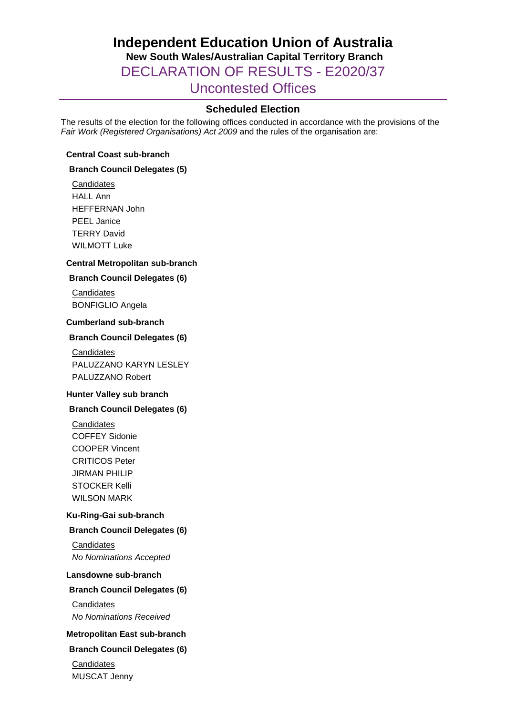# **Independent Education Union of Australia New South Wales/Australian Capital Territory Branch** DECLARATION OF RESULTS - E2020/37 Uncontested Offices

## **Scheduled Election**

The results of the election for the following offices conducted in accordance with the provisions of the *Fair Work (Registered Organisations) Act 2009* and the rules of the organisation are:

#### **Central Coast sub-branch**

#### **Branch Council Delegates (5)**

**Candidates** HALL Ann HEFFERNAN John PEEL Janice TERRY David WILMOTT Luke

#### **Central Metropolitan sub-branch**

#### **Branch Council Delegates (6)**

**Candidates** BONFIGLIO Angela

#### **Cumberland sub-branch**

#### **Branch Council Delegates (6)**

**Candidates** PALUZZANO KARYN LESLEY PALUZZANO Robert

## **Hunter Valley sub branch**

#### **Branch Council Delegates (6)**

**Candidates** COFFEY Sidonie COOPER Vincent CRITICOS Peter JIRMAN PHILIP STOCKER Kelli WILSON MARK

## **Ku-Ring-Gai sub-branch**

#### **Branch Council Delegates (6)**

**Candidates** *No Nominations Accepted*

#### **Lansdowne sub-branch**

## **Branch Council Delegates (6)**

**Candidates** *No Nominations Received*

#### **Metropolitan East sub-branch**

#### **Branch Council Delegates (6)**

**Candidates** MUSCAT Jenny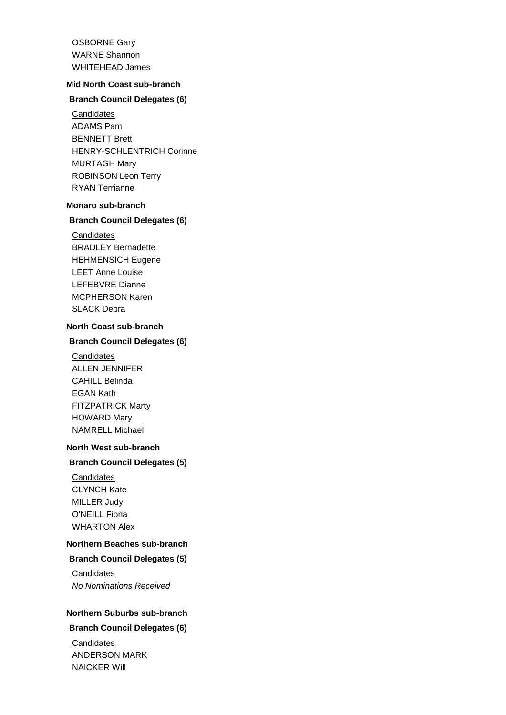OSBORNE Gary WARNE Shannon WHITEHEAD James

## **Mid North Coast sub-branch**

## **Branch Council Delegates (6)**

**Candidates** ADAMS Pam BENNETT Brett HENRY-SCHLENTRICH Corinne MURTAGH Mary ROBINSON Leon Terry RYAN Terrianne

#### **Monaro sub-branch**

#### **Branch Council Delegates (6)**

- **Candidates**
- BRADLEY Bernadette HEHMENSICH Eugene LEET Anne Louise LEFEBVRE Dianne MCPHERSON Karen SLACK Debra

## **North Coast sub-branch**

## **Branch Council Delegates (6)**

**Candidates** ALLEN JENNIFER CAHILL Belinda EGAN Kath FITZPATRICK Marty HOWARD Mary NAMRELL Michael

#### **North West sub-branch**

#### **Branch Council Delegates (5)**

**Candidates** CLYNCH Kate MILLER Judy O'NEILL Fiona WHARTON Alex

## **Northern Beaches sub-branch**

**Branch Council Delegates (5)**

**Candidates** *No Nominations Received*

## **Northern Suburbs sub-branch**

## **Branch Council Delegates (6)**

**Candidates** ANDERSON MARK NAICKER Will